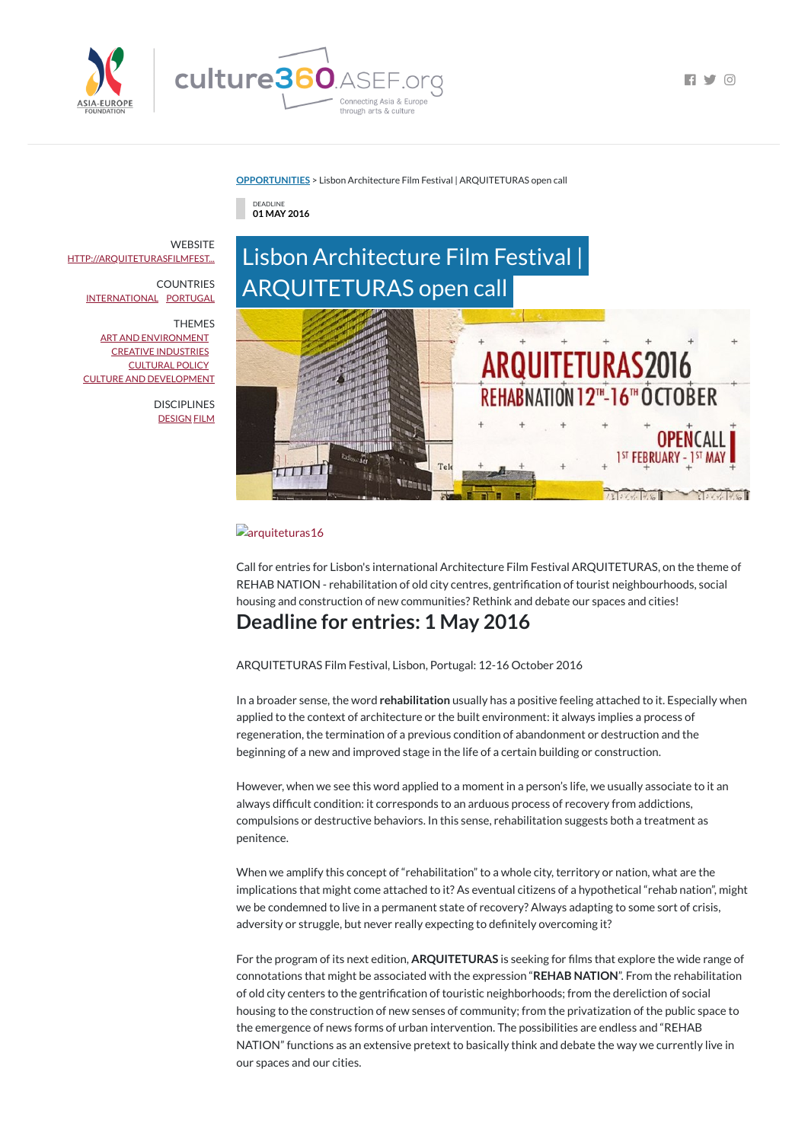

 $\blacksquare$ 

#### **[OPPORTUNITIES](https://culture360.asef.org/opportunities/)** > Lisbon Architecture Film Festival | ARQUITETURAS open call

DEADLINE **01 MAY 2016**

# Lisbon Architecture Film Festival | ARQUITETURAS open call



#### **a**rquiteturas16

Call for entries for Lisbon's international Architecture Film Festival ARQUITETURAS, on the theme of REHAB NATION - rehabilitation of old city centres, gentrification of tourist neighbourhoods, social housing and construction of new communities? Rethink and debate our spaces and cities!

# **Deadline for entries: 1 May 2016**

ARQUITETURAS Film Festival, Lisbon, Portugal: 12-16 October 2016

When we amplify this concept of "rehabilitation" to a whole city, territory or nation, what are the implications that might come attached to it? As eventual citizens of a hypothetical "rehab nation", might we be condemned to live in a permanent state of recovery? Always adapting to some sort of crisis, adversity or struggle, but never really expecting to definitely overcoming it?

In a broader sense, the word **rehabilitation** usually has a positive feeling attached to it. Especially when applied to the context of architecture or the built environment: it always implies a process of regeneration, the termination of a previous condition of abandonment or destruction and the beginning of a new and improved stage in the life of a certain building or construction.

However, when we see this word applied to a moment in a person's life, we usually associate to it an always difficult condition: it corresponds to an arduous process of recovery from addictions, compulsions or destructive behaviors. In this sense, rehabilitation suggests both a treatment as penitence.

For the program of its next edition, **ARQUITETURAS** is seeking for films that explore the wide range of connotations that might be associated with the expression "**REHAB NATION**". From the rehabilitation of old city centers to the gentrification of touristic neighborhoods; from the dereliction of social housing to the construction of new senses of community; from the privatization of the public space to the emergence of news forms of urban intervention. The possibilities are endless and "REHAB NATION" functions as an extensive pretext to basically think and debate the way we currently live in our spaces and our cities.

**WEBSITE** [HTTP://ARQUITETURASFILMFEST...](http://arquiteturasfilmfestival.com/)

> **DISCIPLINES** [DESIGN](https://culture360.asef.org/disciplines/design/) [FILM](https://culture360.asef.org/disciplines/film/)

COUNTRIES [INTERNATIONAL](https://culture360.asef.org/countries/international/) [PORTUGAL](https://culture360.asef.org/countries/portugal/)

THEMES

ART AND [ENVIRONMENT](https://culture360.asef.org/themes/art-and-environment/) CREATIVE [INDUSTRIES](https://culture360.asef.org/themes/creative-industries/) [CULTURAL](https://culture360.asef.org/themes/cultural-policy/) POLICY CULTURE AND [DEVELOPMENT](https://culture360.asef.org/themes/culture-and-development/)